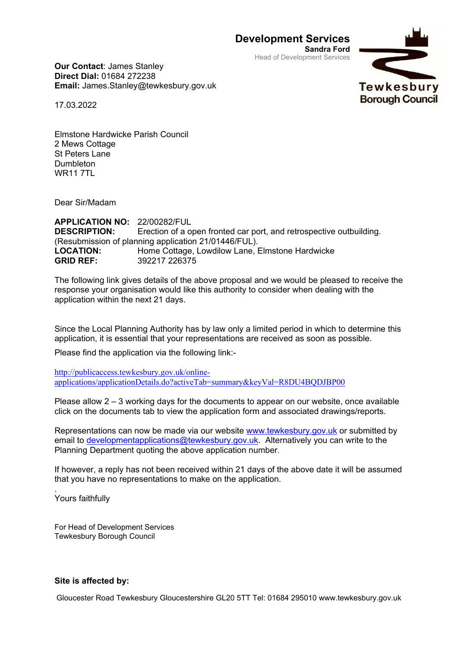**Development Services**

**Sandra Ford** Head of Development Services



**Our Contact**: James Stanley **Direct Dial:** 01684 272238 **Email:** James.Stanley@tewkesbury.gov.uk

17.03.2022

Elmstone Hardwicke Parish Council 2 Mews Cottage St Peters Lane Dumbleton **WR11 7TL** 

Dear Sir/Madam

**APPLICATION NO:** 22/00282/FUL **DESCRIPTION:** Erection of a open fronted car port, and retrospective outbuilding. (Resubmission of planning application 21/01446/FUL). **LOCATION:** Home Cottage, Lowdilow Lane, Elmstone Hardwicke **GRID REF:** 392217 226375

The following link gives details of the above proposal and we would be pleased to receive the response your organisation would like this authority to consider when dealing with the application within the next 21 days.

Since the Local Planning Authority has by law only a limited period in which to determine this application, it is essential that your representations are received as soon as possible.

Please find the application via the following link:-

[http://publicaccess.tewkesbury.gov.uk/online](http://publicaccess.tewkesbury.gov.uk/online-applications/applicationDetails.do?activeTab=summary&keyVal=R8DU4BQDJBP00)[applications/applicationDetails.do?activeTab=summary&keyVal=R8DU4BQDJBP00](http://publicaccess.tewkesbury.gov.uk/online-applications/applicationDetails.do?activeTab=summary&keyVal=R8DU4BQDJBP00)

Please allow 2 – 3 working days for the documents to appear on our website, once available click on the documents tab to view the application form and associated drawings/reports.

Representations can now be made via our website [www.tewkesbury.gov.uk](http://www.tewkesbury.gov.uk/) or submitted by email to [developmentapplications@tewkesbury.gov.uk.](mailto:developmentapplications@tewkesbury.gov.uk) Alternatively you can write to the Planning Department quoting the above application number.

If however, a reply has not been received within 21 days of the above date it will be assumed that you have no representations to make on the application.

. Yours faithfully

For Head of Development Services Tewkesbury Borough Council

## **Site is affected by:**

Gloucester Road Tewkesbury Gloucestershire GL20 5TT Tel: 01684 295010 www.tewkesbury.gov.uk